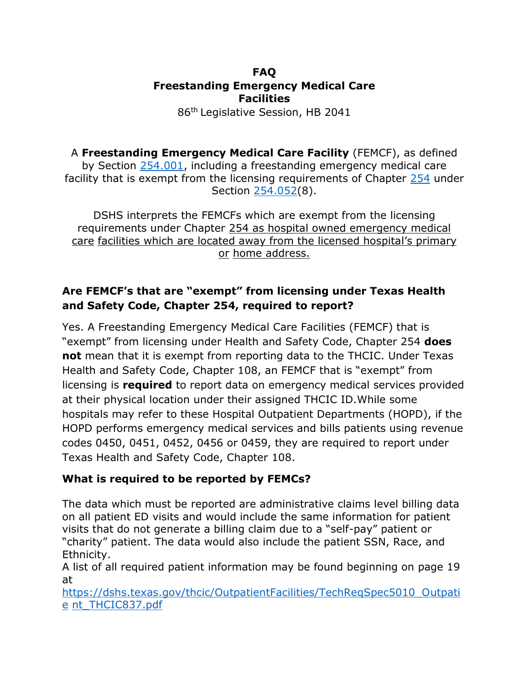### **FAQ Freestanding Emergency Medical Care Facilities**

86th Legislative Session, HB 2041

A **Freestanding Emergency Medical Care Facility** (FEMCF), as defined by Section [254.001,](http://www.statutes.legis.state.tx.us/GetStatute.aspx?Code=HS&Value=254.001) including a freestanding emergency medical care facility that is exempt from the licensing requirements of Chapter [254](http://www.statutes.legis.state.tx.us/GetStatute.aspx?Code=HS&Value=254) under Section [254.052\(](http://www.statutes.legis.state.tx.us/GetStatute.aspx?Code=HS&Value=254.052)8).

DSHS interprets the FEMCFs which are exempt from the licensing requirements under Chapter [254 a](http://www.statutes.legis.state.tx.us/GetStatute.aspx?Code=HS&Value=254)s hospital owned emergency medical care facilities which are located away from the licensed hospital's primary or home address.

# **Are FEMCF's that are "exempt" from licensing under Texas Health and Safety Code, Chapter 254, required to report?**

Yes. A Freestanding Emergency Medical Care Facilities (FEMCF) that is "exempt" from licensing under Health and Safety Code, Chapter 254 **does not** mean that it is exempt from reporting data to the THCIC. Under Texas Health and Safety Code, Chapter 108, an FEMCF that is "exempt" from licensing is **required** to report data on emergency medical services provided at their physical location under their assigned THCIC ID.While some hospitals may refer to these Hospital Outpatient Departments (HOPD), if the HOPD performs emergency medical services and bills patients using revenue codes 0450, 0451, 0452, 0456 or 0459, they are required to report under Texas Health and Safety Code, Chapter 108.

## **What is required to be reported by FEMCs?**

The data which must be reported are administrative claims level billing data on all patient ED visits and would include the same information for patient visits that do not generate a billing claim due to a "self-pay" patient or "charity" patient. The data would also include the patient SSN, Race, and Ethnicity.

A list of all required patient information may be found beginning on page 19 at

[https://dshs.texas.gov/thcic/OutpatientFacilities/TechReqSpec5010\\_Outpati](https://dshs.texas.gov/thcic/OutpatientFacilities/TechReqSpec5010_Outpatient_THCIC837.pdf) [e](https://dshs.texas.gov/thcic/OutpatientFacilities/TechReqSpec5010_Outpatient_THCIC837.pdf) [nt\\_THCIC837.pdf](https://dshs.texas.gov/thcic/OutpatientFacilities/TechReqSpec5010_Outpatient_THCIC837.pdf)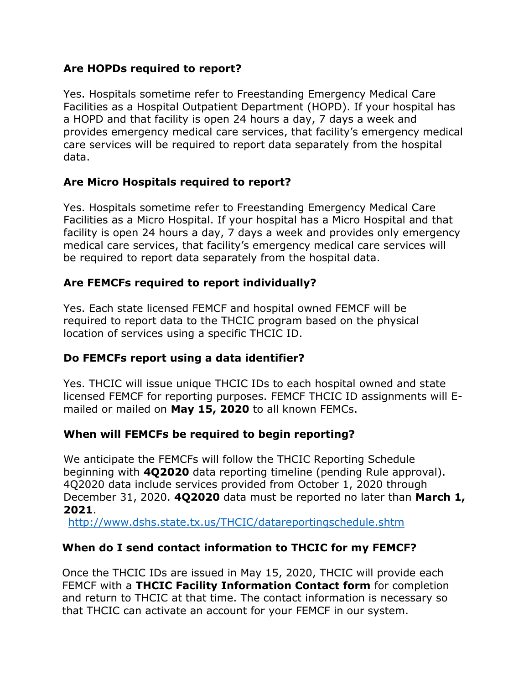### **Are HOPDs required to report?**

Yes. Hospitals sometime refer to Freestanding Emergency Medical Care Facilities as a Hospital Outpatient Department (HOPD). If your hospital has a HOPD and that facility is open 24 hours a day, 7 days a week and provides emergency medical care services, that facility's emergency medical care services will be required to report data separately from the hospital data.

## **Are Micro Hospitals required to report?**

Yes. Hospitals sometime refer to Freestanding Emergency Medical Care Facilities as a Micro Hospital. If your hospital has a Micro Hospital and that facility is open 24 hours a day, 7 days a week and provides only emergency medical care services, that facility's emergency medical care services will be required to report data separately from the hospital data.

## **Are FEMCFs required to report individually?**

Yes. Each state licensed FEMCF and hospital owned FEMCF will be required to report data to the THCIC program based on the physical location of services using a specific THCIC ID.

## **Do FEMCFs report using a data identifier?**

Yes. THCIC will issue unique THCIC IDs to each hospital owned and state licensed FEMCF for reporting purposes. FEMCF THCIC ID assignments will Emailed or mailed on **May 15, 2020** to all known FEMCs.

### **When will FEMCFs be required to begin reporting?**

We anticipate the FEMCFs will follow the THCIC Reporting Schedule beginning with **4Q2020** data reporting timeline (pending Rule approval). 4Q2020 data include services provided from October 1, 2020 through December 31, 2020. **4Q2020** data must be reported no later than **March 1, 2021**.

<http://www.dshs.state.tx.us/THCIC/datareportingschedule.shtm>

## **When do I send contact information to THCIC for my FEMCF?**

Once the THCIC IDs are issued in May 15, 2020, THCIC will provide each FEMCF with a **THCIC Facility Information Contact form** for completion and return to THCIC at that time. The contact information is necessary so that THCIC can activate an account for your FEMCF in our system.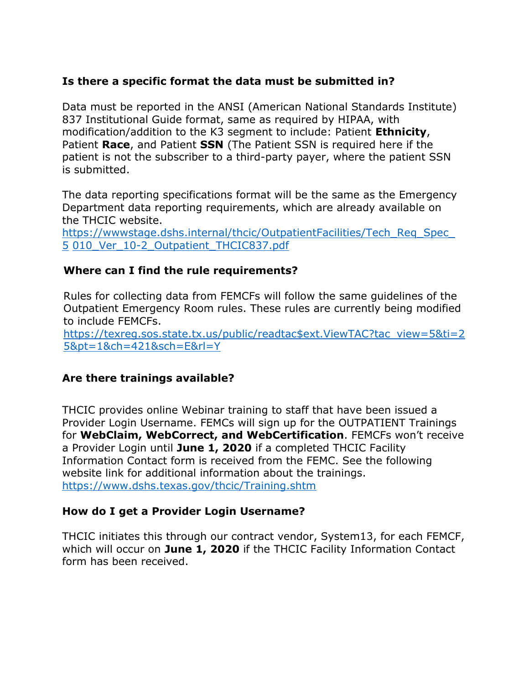### **Is there a specific format the data must be submitted in?**

Data must be reported in the ANSI (American National Standards Institute) 837 Institutional Guide format, same as required by HIPAA, with modification/addition to the K3 segment to include: Patient **Ethnicity**, Patient **Race**, and Patient **SSN** (The Patient SSN is required here if the patient is not the subscriber to a third-party payer, where the patient SSN is submitted.

The data reporting specifications format will be the same as the Emergency Department data reporting requirements, which are already available on the THCIC website.

[https://wwwstage.dshs.internal/thcic/OutpatientFacilities/Tech\\_Req\\_Spec\\_](https://wwwstage.dshs.internal/thcic/OutpatientFacilities/Tech_Req_Spec_5010_Ver_10-2_Outpatient_THCIC837.pdf) [5](https://wwwstage.dshs.internal/thcic/OutpatientFacilities/Tech_Req_Spec_5010_Ver_10-2_Outpatient_THCIC837.pdf) [010\\_Ver\\_10-2\\_Outpatient\\_THCIC837.pdf](https://wwwstage.dshs.internal/thcic/OutpatientFacilities/Tech_Req_Spec_5010_Ver_10-2_Outpatient_THCIC837.pdf)

#### **Where can I find the rule requirements?**

Rules for collecting data from FEMCFs will follow the same guidelines of the Outpatient Emergency Room rules. These rules are currently being modified to include FEMCFs.

[https://texreg.sos.state.tx.us/public/readtac\\$ext.ViewTAC?tac\\_view=5&ti=2](https://texreg.sos.state.tx.us/public/readtac%24ext.ViewTAC?tac_view=5&ti=25&pt=1&ch=421&sch=E&rl=Y) [5&pt=1&ch=421&sch=E&rl=Y](https://texreg.sos.state.tx.us/public/readtac%24ext.ViewTAC?tac_view=5&ti=25&pt=1&ch=421&sch=E&rl=Y)

### **Are there trainings available?**

THCIC provides online Webinar training to staff that have been issued a Provider Login Username. FEMCs will sign up for the OUTPATIENT Trainings for **WebClaim, WebCorrect, and WebCertification**. FEMCFs won't receive a Provider Login until **June 1, 2020** if a completed THCIC Facility Information Contact form is received from the FEMC. See the following website link for additional information about the trainings. <https://www.dshs.texas.gov/thcic/Training.shtm>

#### **How do I get a Provider Login Username?**

THCIC initiates this through our contract vendor, System13, for each FEMCF, which will occur on **June 1, 2020** if the THCIC Facility Information Contact form has been received.